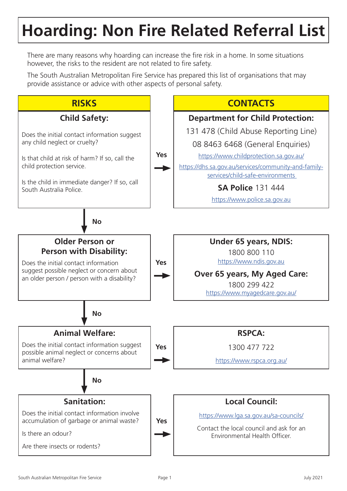## **Hoarding: Non Fire Related Referral List**

There are many reasons why hoarding can increase the fire risk in a home. In some situations however, the risks to the resident are not related to fire safety.

The South Australian Metropolitan Fire Service has prepared this list of organisations that may provide assistance or advice with other aspects of personal safety.